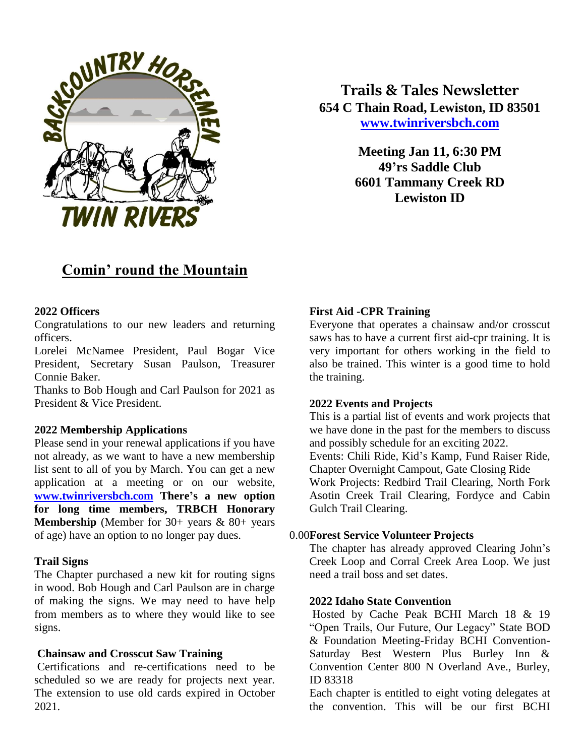

**Trails & Tales Newsletter 654 C Thain Road, Lewiston, ID 83501 [www.twinriversbch.com](http://www.twinriversbch.com/)**

> **Meeting Jan 11, 6:30 PM 49'rs Saddle Club 6601 Tammany Creek RD Lewiston ID**

# **Comin' round the Mountain**

#### **2022 Officers**

Congratulations to our new leaders and returning officers.

Lorelei McNamee President, Paul Bogar Vice President, Secretary Susan Paulson, Treasurer Connie Baker.

Thanks to Bob Hough and Carl Paulson for 2021 as President & Vice President.

#### **2022 Membership Applications**

Please send in your renewal applications if you have not already, as we want to have a new membership list sent to all of you by March. You can get a new application at a meeting or on our website, **[www.twinriversbch.com](http://www.twinriversbch.com/) There's a new option for long time members, TRBCH Honorary Membership** (Member for 30+ years & 80+ years of age) have an option to no longer pay dues.

#### **Trail Signs**

The Chapter purchased a new kit for routing signs in wood. Bob Hough and Carl Paulson are in charge of making the signs. We may need to have help from members as to where they would like to see signs.

### **Chainsaw and Crosscut Saw Training**

Certifications and re-certifications need to be scheduled so we are ready for projects next year. The extension to use old cards expired in October 2021.

#### **First Aid -CPR Training**

Everyone that operates a chainsaw and/or crosscut saws has to have a current first aid-cpr training. It is very important for others working in the field to also be trained. This winter is a good time to hold the training.

#### **2022 Events and Projects**

This is a partial list of events and work projects that we have done in the past for the members to discuss and possibly schedule for an exciting 2022.

Events: Chili Ride, Kid's Kamp, Fund Raiser Ride, Chapter Overnight Campout, Gate Closing Ride

Work Projects: Redbird Trail Clearing, North Fork Asotin Creek Trail Clearing, Fordyce and Cabin Gulch Trail Clearing.

#### **Forest Service Volunteer Projects**

The chapter has already approved Clearing John's Creek Loop and Corral Creek Area Loop. We just need a trail boss and set dates.

#### **2022 Idaho State Convention**

Hosted by Cache Peak BCHI March 18 & 19 "Open Trails, Our Future, Our Legacy" State BOD & Foundation Meeting-Friday BCHI Convention-Saturday Best Western Plus Burley Inn & Convention Center 800 N Overland Ave., Burley, ID 83318

Each chapter is entitled to eight voting delegates at the convention. This will be our first BCHI